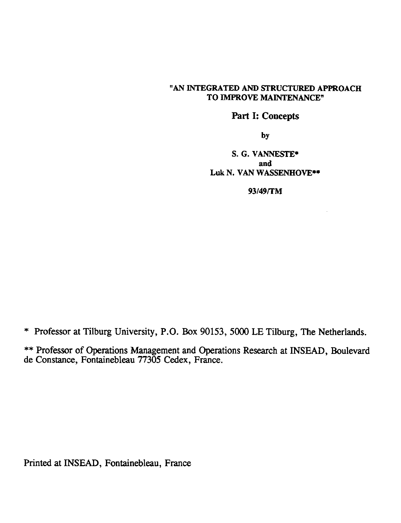## "AN INTEGRATED AND STRUCTURED APPROACH TO IMPROVE MAINTENANCE"

## Part I: Concepts

by

S. G. VANNESTE• and Luk N. VAN WASSENHOVE\*\*

93/49/TM

\* Professor at Tilburg University, P.O. Box 90153, 5000 LE Tilburg, The Netherlands.

\*\* Professor of Operations Management and Operations Research at INSEAD, Boulevard de Constance, Fontainebleau 77305 Cedex, France.

Printed at INSEAD, Fontainebleau, France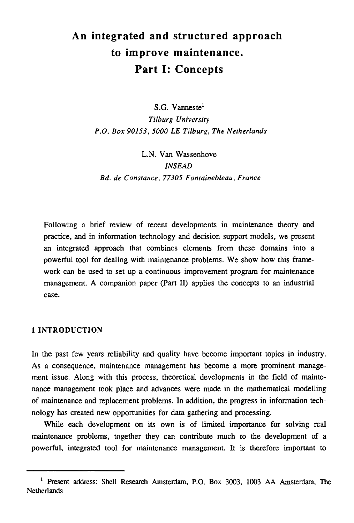# **An integrated and structured approach to improve maintenance. Part I: Concepts**

S.G. Vanneste' *Tilburg University P.O. Box 90153, 5000 LE Tilburg, The Netherlands*

L.N. Van Wassenhove *INSEAD Bd. de Constance, 77305 Fontainebleau, France*

Following a brief review of recent developments in maintenance theory and practice, and in information technology and decision support models, we present an integrated approach that combines elements from these domains into a powerful tool for dealing with maintenance problems. We show how this framework can be used to set up a continuous improvement program for maintenance management. A companion paper (Part II) applies the concepts to an industrial case.

## **1 INTRODUCTION**

In the past few years reliability and quality have become important topics in industry. As a consequence, maintenance management has become a more prominent management issue. Along with this process, theoretical developments in the field of maintenance management took place and advances were made in the mathematical modelling of maintenance and replacement problems. In addition, the progress in information technology has created new opportunities for data gathering and processing.

While each development on its own is of limited importance for solving real maintenance problems, together they can contribute much to the development of a powerful, integrated tool for maintenance management. It is therefore important to

<sup>&</sup>lt;sup>1</sup> Present address: Shell Research Amsterdam, P.O. Box 3003, 1003 AA Amsterdam, The **Netherlands**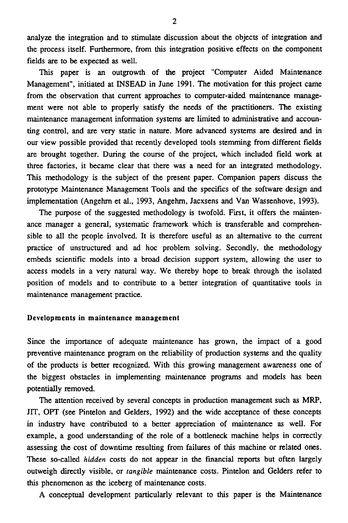analyze the integration and to stimulate discussion about the objects of integration and the process itself. Furthermore, from this integration positive effects on the component fields are to be expected *as* well.

This paper is an outgrowth of the project "Computer Aided Maintenance Management", initiated at INSEAD in June 1991. The motivation for this project came from the observation that current approaches to computer-aided maintenance management were not able to properly satisfy the needs of the practitioners. The existing maintenance management information systems are limited to administrative and accounting control, and are very static in nature. More advanced systems are desired and in our view possible provided that recently developed tools stemming from different fields are brought together. During the course of the project, which included field work at three factories, it became clear that there was a need for an integrated methodology. This methodology is the subject of the present paper. Companion papers discuss the prototype Maintenance Management Tools and the specifics of the software design and implementation (Angehrn et al., 1993, Angehrn, Jacxsens and Van Wassenhove, 1993).

The purpose of the suggested methodology is twofold. First, it offers the maintenance manager a general, systematic framework which is transferable and comprehensible to all the people involved. It is therefore useful as an alternative to the current practice of unstructured and ad hoc problem solving. Secondly, the methodology embeds scientific models into a broad decision support system, allowing the user to access models in a very natural way. We thereby hope to break through the isolated position of models and to contribute to a better integration of quantitative tools in maintenance management practice.

#### Developments in maintenance management

Since the importance of adequate maintenance has grown, the impact of a good preventive maintenance program on the reliability of production systems and the quality of the products is better recognized. With this growing management awareness one of the biggest obstacles in implementing maintenance programs and models has been potentially removed.

The attention received by several concepts in production management such as MRP, JIT, OPT (see Pintelon and Gelders, 1992) and the wide acceptance of these concepts in industry have contributed to a better appreciation of maintenance *as* well. For example, a good understanding of the role of a bottleneck machine helps in correctly assessing the cost of downtime resulting from failures of this machine or related ones. These so-called *hidden* costs do not appear in the financial reports but often largely outweigh directly visible, or *tangible* maintenance costs. Pintelon and Gelders refer to this phenomenon *as* the iceberg of maintenance costs.

A conceptual development particularly relevant to this paper is the Maintenance

2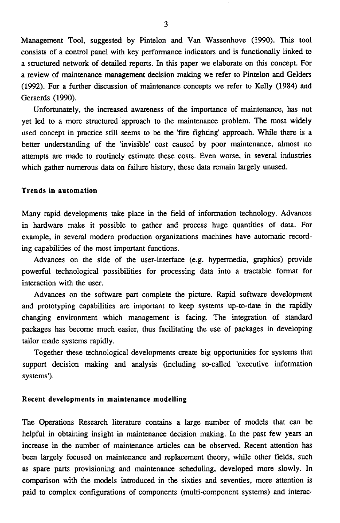Management Tool, suggested by Pintelon and Van Wassenhove (1990). This tool consists of a control panel with key performance indicators and is functionally linked to a structured network of detailed reports. In this paper we elaborate on this concept. For a review of maintenance management decision making we refer to Pintelon and Gelders (1992). For a further discussion of maintenance concepts we refer to Kelly (1984) and Geraerds (1990).

Unfortunately, the increased awareness of the importance of maintenance, has not yet led to a more structured approach to the maintenance problem. The most widely used concept in practice still seems to be the 'fire fighting' approach. While there is a better understanding of the 'invisible' cost caused by poor maintenance, almost no attempts are made to routinely estimate these costs. Even worse, in several industries which gather numerous data on failure history, these data remain largely unused.

## **Trends in automation**

Many rapid developments take place in the field of information technology. Advances in hardware make it possible to gather and process huge quantities of data. For example, in several modern production organizations machines have automatic recording capabilities of the most important functions.

Advances on the side of the user-interface (e.g. hypermedia, graphics) provide powerful technological possibilities for processing data into a tractable format for interaction with the user.

Advances on the software part complete the picture. Rapid software development and prototyping capabilities are important to keep systems up-to-date in the rapidly changing environment which management is facing. The integration of standard packages has become much easier, thus facilitating the use of packages in developing tailor made systems rapidly.

Together these technological developments create big opportunities for systems that support decision making and analysis (including so-called 'executive information systems').

## **Recent developments in maintenance modelling**

The Operations Research literature contains a large number of models that can be helpful in obtaining insight in maintenance decision making. In the past few years an increase in the number of maintenance articles can be observed. Recent attention has been largely focused on maintenance and replacement theory, while other fields, such as spare parts provisioning and maintenance scheduling, developed more slowly. In comparison with the models introduced in the sixties and seventies, more attention is paid to complex configurations of components (multi-component systems) and interac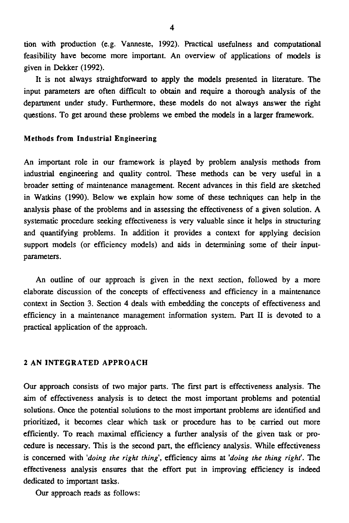tion with production (e.g. Vanneste, 1992). Practical usefulness and computational feasibility have become more important. An overview of applications of models is given in Dekker (1992).

It is not always straightforward to apply the models presented in literature. The input parameters are often difficult to obtain and require a thorough analysis of the department under study. Furthermore, these models do not always answer the right questions. To get around these problems we embed the models in a larger framework.

#### Methods from Industrial Engineering

An important role in our framework is played by problem analysis methods from industrial engineering and quality control. These methods can be very useful in a broader setting of maintenance management. Recent advances in this field are sketched in Watkins (1990). Below we explain how some of these techniques can help in the analysis phase of the problems and in assessing the effectiveness of a given solution. A systematic procedure seeking effectiveness is very valuable since it helps in structuring and quantifying problems. In addition it provides a context for applying decision support models (or efficiency models) and aids in determining some of their inputparameters.

An outline of our approach is given in the next section, followed by a more elaborate discussion of the concepts of effectiveness and efficiency in a maintenance context in Section 3. Section 4 deals with embedding the concepts of effectiveness and efficiency in a maintenance management information system. Part II is devoted to a practical application of the approach.

## 2 AN **INTEGRATED APPROACH**

Our approach consists of two major parts. The first part is effectiveness analysis. The aim of effectiveness analysis is to detect the most important problems and potential solutions. Once the potential solutions to the most important problems are identified and prioritized, it becomes clear which task or procedure has to be carried out more efficiently. To reach maximal efficiency a further analysis of the given task or procedure is necessary. This is the second part, the efficiency analysis. While effectiveness is concerned with *'doing the right thing',* efficiency aims at *'doing the thing right'.* The effectiveness analysis ensures that the effort put in improving efficiency is indeed dedicated to important tasks.

Our approach reads *as* follows: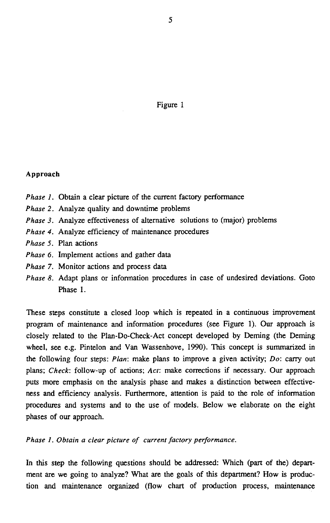Figure 1

## **Approach**

- *Phase I.* Obtain a clear picture of the current factory performance
- *Phase 2.* Analyze quality and downtime problems
- *Phase 3.* Analyze effectiveness of alternative solutions to (major) problems
- *Phase 4.* Analyze efficiency of maintenance procedures
- *Phase 5.* Plan actions
- *Phase 6.* Implement actions and gather data
- *Phase 7.* Monitor actions and process data
- *Phase 8.* Adapt plans or information procedures in case of undesired deviations. Goto Phase 1.

These steps constitute a closed loop which is repeated in a continuous improvement program of maintenance and information procedures (see Figure 1). Our approach is closely related to the Plan-Do-Check-Act concept developed by Deming (the Deming wheel, see e.g. Pintelon and Van Wassenhove, 1990). This concept is summarized in the following four steps: *Plan:* make plans to improve a given activity; *Do:* carry out plans; *Check:* follow-up of actions; *Act:* make corrections if necessary. Our approach puts more emphasis on the analysis phase and makes a distinction between effectiveness and efficiency analysis. Furthermore, attention is paid to the role of information procedures and systems and to the use of models. Below we elaborate on the eight phases of our approach.

*Phase I. Obtain a clear picture of current factory performance.*

In this step the following questions should be addressed: Which (part of the) department are we going to analyze? What are the goals of this department? How is production and maintenance organized (flow chart of production process, maintenance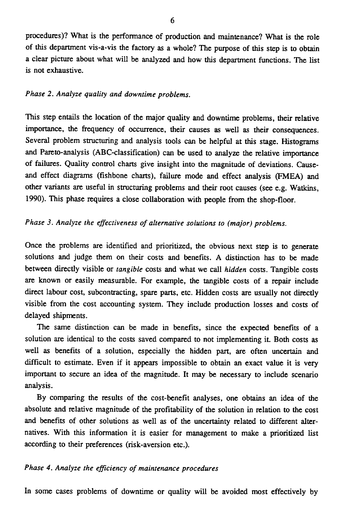procedures)? What is the performance of production and maintenance? What is the role of this department vis-a-vis the factory as a whole? The purpose of this step is to obtain a clear picture about what will be analyzed and how this department functions. The list is not exhaustive.

## *Phase 2. Analyze quality and downtime problems.*

This step entails the location of the major quality and downtime problems, their relative importance, the frequency of occurrence, their causes as well as their consequences. Several problem structuring and analysis tools can be helpful at this stage. Histograms and Pareto-analysis (ABC-classification) can be used to analyze the relative importance of failures. Quality control charts give insight into the magnitude of deviations. Causeand effect diagrams (fishbone charts), failure mode and effect analysis (FMEA) and other variants are useful in structuring problems and their root causes (see e.g. Watkins, 1990). This phase requires a close collaboration with people from the shop-floor.

## *Phase 3. Analyze the effectiveness of alternative solutions to (major) problems.*

Once the problems are identified and prioritized, the obvious next step is to generate solutions and judge them on their costs and benefits. A distinction has to be made between directly visible or *tangible* costs and what we call *hidden* costs. Tangible costs are known or easily measurable. For example, the tangible costs of a repair include direct labour cost, subcontracting, spare parts, etc. Hidden costs are usually not directly visible from the cost accounting system. They include production losses and costs of delayed shipments.

The same distinction can be made in benefits, since the expected benefits of a solution are identical to the costs saved compared to not implementing it. Both costs as well *as* benefits of a solution, especially the hidden part, are often uncertain and difficult to estimate. Even if it appears impossible to obtain an exact value it is very important to secure an idea of the magnitude. It may be necessary to include scenario analysis.

By comparing the results of the cost-benefit analyses, one obtains an idea of the absolute and relative magnitude of the profitability of the solution in relation to the cost and benefits of other solutions as well as of the uncertainty related to different alternatives. With this information it is easier for management to make a prioritized list according to their preferences (risk-aversion etc.).

## *Phase 4. Analyze the efficiency of maintenance procedures*

In some cases problems of downtime or quality will be avoided most effectively by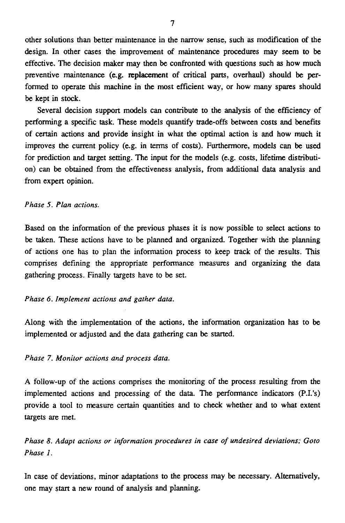other solutions than better maintenance in the narrow sense, such as modification of the design. In other cases the improvement of maintenance procedures may seem to be effective. The decision maker may then be confronted with questions such *as* how much preventive maintenance (e.g. replacement of critical parts, overhaul) should be performed to operate this machine in the most efficient way, or how many spares should be kept in stock.

Several decision support models can contribute to the analysis of the efficiency of performing a specific task. These models quantify trade-offs between costs and benefits of certain actions and provide insight in what the optimal action is and how much it improves the current policy (e.g. in terms of costs). Furthermore, models can be used for prediction and target setting. The input for the models (e.g. costs, lifetime distribution) can be obtained from the effectiveness analysis, from additional data analysis and from expert opinion.

## *Phase 5. Plan actions.*

Based on the information of the previous phases it is now possible to select actions to be taken. These actions have to be planned and organized. Together with the planning of actions one has to plan the information process to keep track of the results. This comprises defining the appropriate performance measures and organizing the data gathering process. Finally targets have to be set.

*Phase 6. Implement actions and gather data.*

Along with the implementation of the actions, the information organization has to be implemented or adjusted and the data gathering can be started.

*Phase 7. Monitor actions and process data.*

A follow-up of the actions comprises the monitoring of the process resulting from the implemented actions and processing of the data. The performance indicators (P.I.'s) provide a tool to measure certain quantities and to check whether and to what extent targets are met.

*Phase 8. Adapt actions or information procedures in case of undesired deviations; Goto Phase I.*

In case of deviations, minor adaptations to the process may be necessary. Alternatively, one may start a new round of analysis and planning.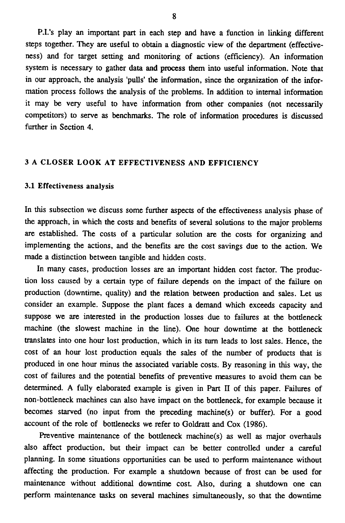P.I.'s play an important part in each step and have a function in linking different steps together. They are useful to obtain a diagnostic view of the department (effectiveness) and for target setting and monitoring of actions (efficiency). An information system is necessary to gather data and process them into useful information. Note that in our approach, the analysis 'pulls' the information, since the organization of the information process follows the analysis of the problems. In addition to internal information it may be very useful to have information from other companies (not necessarily competitors) to serve as benchmarks. The role of information procedures is discussed further in Section 4.

## **3 A CLOSER LOOK AT EFFECTIVENESS AND EFFICIENCY**

## 3.1 Effectiveness analysis

In this subsection we discuss some further aspects of the effectiveness analysis phase of the approach, in which the costs and benefits of several solutions to the major problems are established. The costs of a particular solution are the costs for organizing and implementing the actions, and the benefits are the cost savings due to the action. We made a distinction between tangible and hidden costs.

In many cases, production losses are an important hidden cost factor. The production loss caused by a certain type of failure depends on the impact of the failure on production (downtime, quality) and the relation between production and sales. Let us consider an example. Suppose the plant faces a demand which exceeds capacity and suppose we are interested in the production losses due to failures at the bottleneck machine (the slowest machine in the line). One hour downtime at the bottleneck translates into one hour lost production, which in its turn leads to lost sales. Hence, the cost of an hour lost production equals the sales of the number of products that is produced in one hour minus the associated variable costs. By reasoning in this way, the cost of failures and the potential benefits of preventive measures to avoid them can be determined. A fully elaborated example is given in Part II of this paper. Failures of non-bottleneck machines can also have impact on the bottleneck, for example because it becomes starved (no input from the preceding machine(s) or buffer). For a good account of the role of bottlenecks we refer to Goldratt and Cox (1986).

Preventive maintenance of the bottleneck machine(s) *as* well as major overhauls also affect production, but their impact can be better controlled under a careful planning. In some situations opportunities can be used to perform maintenance without affecting the production. For example a shutdown because of frost can be used for maintenance without additional downtime cost. Also, during a shutdown one can perform maintenance tasks on several machines simultaneously, so that the downtime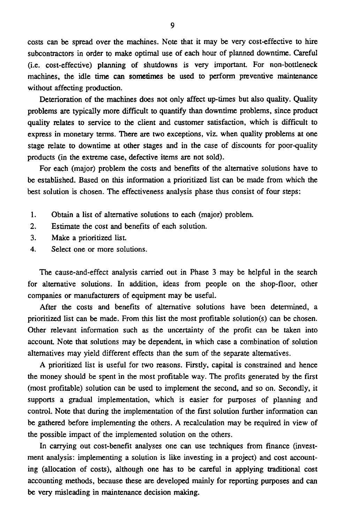costs can be spread over the machines. Note that it may be very cost-effective to hire subcontractors in order to make optimal use of each hour of planned downtime. Careful (i.e. cost-effective) planning of shutdowns is very important. For non-bottleneck machines, the idle time can sometimes be used to perform preventive maintenance without affecting production.

Deterioration of the machines does not only affect up-times but also quality. Quality problems are typically more difficult to quantify than downtime problems, since product quality relates to service to the client and customer satisfaction, which is difficult to express in monetary terms. There are two exceptions, viz. when quality problems at one stage relate to downtime at other stages and in the case of discounts for poor-quality products (in the extreme case, defective items are not sold).

For each (major) problem the costs and benefits of the alternative solutions have to be established. Based on this information a prioritized list can be made from which the best solution is chosen. The effectiveness analysis phase thus consist of four steps:

- 1. Obtain a list of alternative solutions to each (major) problem.
- 2. Estimate the cost and benefits of each solution.
- 3. Make a prioritized list.
- 4. Select one or more solutions.

The cause-and-effect analysis carried out in Phase 3 may be helpful in the search for alternative solutions. In addition, ideas from people on the shop-floor, other companies or manufacturers of equipment may be useful.

After the costs and benefits of alternative solutions have been determined, a prioritized list can be made. From this list the most profitable solution(s) can be chosen. Other relevant information such *as* the uncertainty of the profit can be taken into account. Note that solutions may be dependent, in which case a combination of solution alternatives may yield different effects than the sum of the separate alternatives.

A prioritized list is useful for two reasons. Firstly, capital is constrained and hence the money should be spent in the most profitable way. The profits generated by the first (most profitable) solution can be used to implement the second, and so on. Secondly, it supports a gradual implementation, which is easier for purposes of planning and control. Note that during the implementation of the first solution further information can be gathered before implementing the others. A recalculation may be required in view of the possible impact of the implemented solution on the others.

In carrying out cost-benefit analyses one can use techniques from finance (investment analysis: implementing a solution is like investing in a project) and cost accounting (allocation of costs), although one has to be careful in applying traditional cost accounting methods, because these are developed mainly for reporting purposes and can be very misleading in maintenance decision making.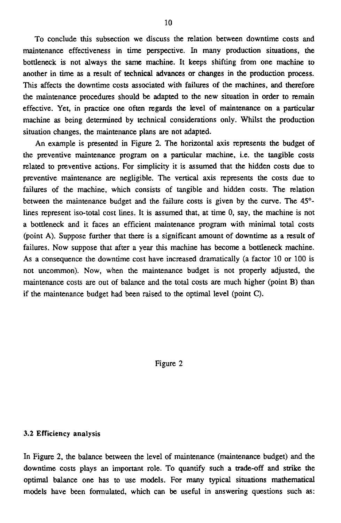To conclude this subsection we discuss the relation between downtime costs and maintenance effectiveness in time perspective. In many production situations, the bottleneck is not always the same machine. It keeps shifting from one machine to another in time as a result of technical advances or changes in the production process. This affects the downtime costs associated with failures of the machines, and therefore the maintenance procedures should be adapted to the new situation in order to remain effective. Yet, in practice one often regards the level of maintenance on a particular machine as being determined by technical considerations only. Whilst the production situation changes, the maintenance plans are not adapted.

An example is presented in Figure 2. The horizontal axis represents the budget of the preventive maintenance program on a particular machine, i.e. the tangible costs related to preventive actions. For simplicity it is assumed that the hidden costs due to preventive maintenance are negligible. The vertical axis represents the costs due to failures of the machine, which consists of tangible and hidden costs. The relation between the maintenance budget and the failure costs is given by the curve. The 45° lines represent iso-total cost lines. It is assumed that, at time 0, say, the machine is not a bottleneck and it faces an efficient maintenance program with minimal total costs (point A). Suppose further that there is a significant amount of downtime as a result of failures. Now suppose that after a year this machine has become a bottleneck machine. As a consequence the downtime cost have increased dramatically (a factor 10 or 100 is not uncommon). Now, when the maintenance budget is not properly adjusted, the maintenance costs are out of balance and the total costs are much higher (point B) than if the maintenance budget had been raised to the optimal level (point C).

Figure 2

## 3.2 Efficiency analysis

In Figure 2, the balance between the level of maintenance (maintenance budget) and the downtime costs plays an important role. To quantify such a trade-off and strike the optimal balance one has to use models. For many typical situations mathematical models have been formulated, which can be useful in answering questions such as: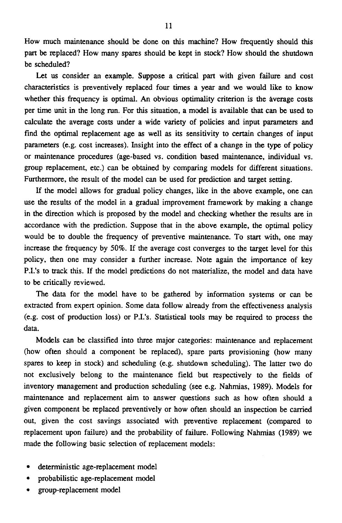How much maintenance should be done on this machine? How frequently should this part be replaced? How many spares should be kept in stock? How should the shutdown be scheduled?

Let us consider an example. Suppose a critical part with given failure and cost characteristics is preventively replaced four times a year and we would like to know whether this frequency is optimal. An obvious optimality criterion is the average costs per time unit in the long run. For this situation, a model is available that can be used to calculate the average costs under a wide variety of policies and input parameters and find the optimal replacement age *as* well as its sensitivity to certain changes of input parameters (e.g. cost increases). Insight into the effect of a change in the type of policy or maintenance procedures (age-based vs. condition based maintenance, individual vs. group replacement, etc.) can be obtained by comparing models for different situations. Furthermore, the result of the model can be used for prediction and target setting.

If the model allows for gradual policy changes, like in the above example, one can use the results of the model in a gradual improvement framework by making a change in the direction which is proposed by the model and checking whether the results are *in* accordance with the prediction. Suppose that in the above example, the optimal policy would be to double the frequency of preventive maintenance. To start with, one may increase the frequency by 50%. If the average cost converges to the target level for this policy, then one may consider a further increase. Note again the importance of key P.I.'s to track this. If the model predictions do not materialize, the model and data have to be critically reviewed.

The data for the model have to be gathered by information systems or can be extracted from expert opinion. Some data follow already from the effectiveness analysis (e.g. cost of production loss) or P.I.'s. Statistical tools may be required to process the data.

Models can be classified into three major categories: maintenance and replacement (how often should a component be replaced), spare parts provisioning (how many spares to keep in stock) and scheduling (e.g. shutdown scheduling). The latter two do not exclusively belong to the maintenance field but respectively to the fields of inventory management and production scheduling (see e.g. Nahmias, 1989). Models for maintenance and replacement aim to answer questions such *as* how often should a given component be replaced preventively or how often should an inspection be carried out, given the cost savings associated with preventive replacement (compared to replacement upon failure) and the probability of failure. Following Nahmias (1989) we made the following basic selection of replacement models:

- deterministic age-replacement model
- probabilistic age-replacement model
- group-replacement model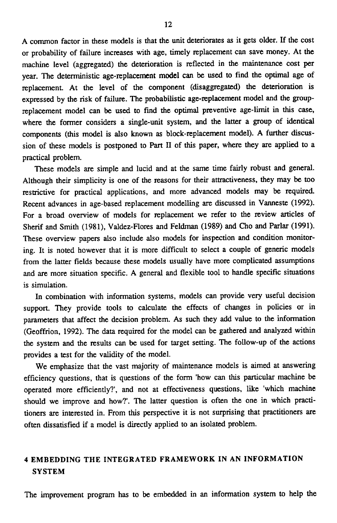A common factor in these models is that the unit deteriorates as it gets older. If the cost or probability of failure increases with age, timely replacement can save money. At the machine level (aggregated) the deterioration is reflected in the maintenance cost per year. The deterministic age-replacement model can be used to find the optimal age of replacement. At the level of the component (disaggregated) the deterioration is expressed by the risk of failure. The probabilistic age-replacement model and the groupreplacement model can be used to find the optimal preventive age-limit in this case, where the former considers a single-unit system, and the latter a group of identical components (this model is also known as block-replacement model). A further discussion of these models is postponed to Part II of this paper, where they are applied to a practical problem.

These models are simple and lucid and at the same time fairly robust and general. Although their simplicity is one of the reasons for their attractiveness, they may be too restrictive for practical applications, and more advanced models may be required. Recent advances in age-based replacement modelling are discussed in Vanneste (1992). For a broad overview of models for replacement we refer to the review articles of Sherif and Smith (1981), Valdez-Flores and Feldman (1989) and Cho and Parlar (1991). These overview papers also include also models for inspection and condition monitoring. It is noted however that it is more difficult to select a couple of generic models from the latter fields because these models usually have more complicated assumptions and are more situation specific. A general and flexible tool to handle specific situations is simulation.

In combination with information systems, models can provide very useful decision support. They provide tools to calculate the effects of changes in policies or in parameters that affect the decision problem. As such they add value to the information (Geoffrion, 1992). The data required for the model can be gathered and analyzed within the system and the results can be used for target setting. The follow-up of the actions provides a test for the validity of the model.

We emphasize that the vast majority of maintenance models is aimed at answering efficiency questions, that is questions of the form 'how can this particular machine be operated more efficiently?', and not at effectiveness questions, like 'which machine should we improve and how?'. The latter question is often the one in which practitioners are interested in. From this perspective it is not surprising that practitioners are often dissatisfied if a model is directly applied to an isolated problem.

## 4 EMBEDDING THE INTEGRATED FRAMEWORK IN AN **INFORMATION SYSTEM**

The improvement program has to be embedded in an information system to help the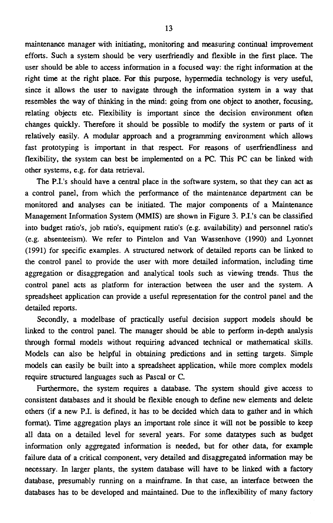maintenance manager with initiating, monitoring and measuring continual improvement efforts. Such a system should be very userfriendly and flexible in the first place. The user should be able to access information in a focused way: the right information at the right time at the right place. For this purpose, hypermedia technology is very useful, since it allows the user to navigate through the information system in a way that resembles the way of thinking in the mind: going from one object to another, focusing, relating objects etc. Flexibility is important since the decision environment often changes quickly. Therefore it should be possible to modify the system or parts of it relatively easily. A modular approach and a programming environment which allows fast prototyping is important in that respect. For reasons of userfriendliness and flexibility, the system can best be implemented on a PC. This PC can be linked with other systems, e.g. for data retrieval.

The P.I.'s should have a central place in the software system, so that they can act as a control panel, from which the performance of the maintenance department can be monitored and analyses can be initiated. The major components of a Maintenance Management Information System (MMIS) are shown in Figure 3. P.I.'s can be classified into budget ratio's, job ratio's, equipment ratio's (e.g. availability) and personnel ratio's (e.g. absenteeism). We refer to Pintelon and Van Wassenhove (1990) and Lyonnet (1991) for specific examples. A structured network of detailed reports can be linked to the control panel to provide the user with more detailed information, including time aggregation or disaggregation and analytical tools such *as* viewing trends. Thus the control panel acts as platform for interaction between the user and the system. A spreadsheet application can provide a useful representation for the control panel and the detailed reports.

Secondly, a modelbase of practically useful decision support models should be linked to the control panel. The manager should be able to perform in-depth analysis through formal models without requiring advanced technical or mathematical skills. Models can also be helpful in obtaining predictions and in setting targets. Simple models can easily be built into a spreadsheet application, while more complex models require structured languages such *as* Pascal or C.

Furthermore, the system requires a database. The system should give access to consistent databases and it should be flexible enough to define new elements and delete others (if a new P.I. is defined, it has to be decided which data to gather and in which format). Time aggregation plays an important role since it will not be possible to keep all data on a detailed level for several years. For some datatypes such *as* budget information only aggregated information is needed, but for other data, for example failure data of a critical component, very detailed and disaggregated information may be necessary. In larger plants, the system database will have to be linked with a factory database, presumably running on a mainframe. In that case, an interface between the databases has to be developed and maintained. Due to the inflexibility of many factory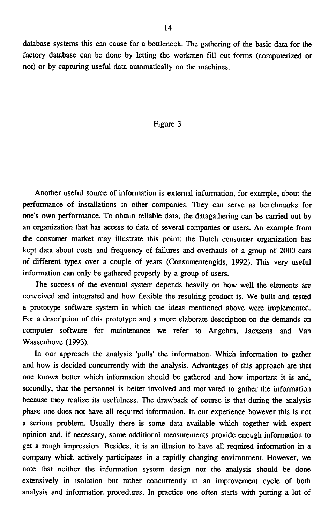database systems this can cause for a bottleneck. The gathering of the basic data for the factory database can be done by letting the workmen fill out forms (computerized or not) or by capturing useful data automatically on the machines.

## Figure 3

Another useful source of information is external information, for example, about the performance of installations in other companies. They can serve as benchmarks for one's own performance. To obtain reliable data, the datagathering can be carried out by an organization that has access to data of several companies or users. An example from the consumer market may illustrate this point: the Dutch consumer organization has kept data about costs and frequency of failures and overhauls of a group of 2000 cars of different types over a couple of years (Consumentengids, 1992). This very useful information can only be gathered properly by a group of users.

The success of the eventual system depends heavily on how well the elements are conceived and integrated and how flexible the resulting product is. We built and tested a prototype software system in which the ideas mentioned above were implemented. For a description of this prototype and a more elaborate description on the demands on computer software for maintenance we refer to Angehrn, Jacxsens and Van Wassenhove (1993).

In our approach the analysis 'pulls' the information. Which information to gather and how is decided concurrently with the analysis. Advantages of this approach are that one knows better which information should be gathered and how important it is and, secondly, that the personnel is better involved and motivated to gather the information because they realize its usefulness. The drawback of course is that during the analysis phase one does not have all required information. In our experience however this is not a serious problem. Usually there is some data available which together with expert opinion and, if necessary, some additional measurements provide enough information to get a rough impression. Besides, it is an illusion to have all required information in a company which actively participates in a rapidly changing environment. However, we note that neither the information system design nor the analysis should be done extensively in isolation but rather concurrently in an improvement cycle of both analysis and information procedures. In practice one often starts with putting a lot of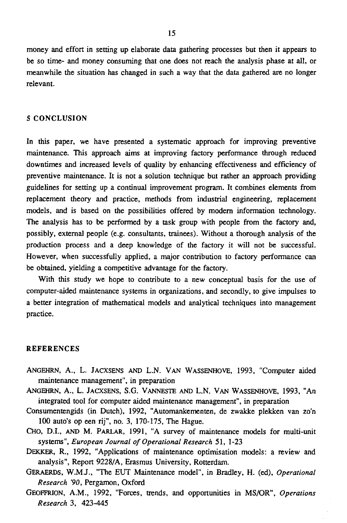money and effort in setting up elaborate data gathering processes but then it appears to be so time- and money consuming that one does not reach the analysis phase at all, or meanwhile the situation has changed in such a way that the data gathered are no longer relevant.

#### 5 CONCLUSION

In this paper, we have presented a systematic approach for improving preventive maintenance. This approach aims at improving factory performance through reduced downtimes and increased levels of quality by enhancing effectiveness and efficiency of preventive maintenance. It is not a solution technique but rather an approach providing guidelines for setting up a continual improvement program. It combines elements from replacement theory and practice, methods from industrial engineering, replacement models, and is based on the possibilities offered by modern information technology. The analysis has to be performed by a task group with people from the factory and, possibly, external people (e.g. consultants, trainees). Without a thorough analysis of the production process and a deep knowledge of the factory it will not be successful. However, when successfully applied, a major contribution to factory performance can be obtained, yielding a competitive advantage for the factory.

With this study we hope to contribute to a new conceptual basis for the use of computer-aided maintenance systems in organizations, and secondly, to give impulses to a better integration of mathematical models and analytical techniques into management practice.

## **REFERENCES**

- ANGEHRN, A., L. JACXSENS AND L.N. VAN WASSENHOVE, 1993, "Computer aided maintenance management", in preparation
- ANGEHRN, A., L. JACXSENS, S.G. VANNESTE AND L.N. VAN WASSENHOVE, 1993, "An integrated tool for computer aided maintenance management", in preparation
- Consumentengids (in Dutch), 1992, "Automankementen, de zwakke plekken van zo'n 100 auto's op een rij", no. 3, 170-175, The Hague.
- CHO, D.I., AND M. PARLAR, 1991, "A survey of maintenance models for multi-unit systems", *European Journal of Operational Research* 51, 1-23
- DEKKER, R., 1992, "Applications of maintenance optimisation models: a review and analysis", Report 9228/A, Erasmus University, Rotterdam.
- GERAERDS, W.M.J., "The EUT Maintenance model", in Bradley, H. (ed), *Operational Research '90,* Pergamon, Oxford
- GEOFFRION, A.M., 1992, "Forces, trends, and opportunities in MS/OR", *Operations Research* 3, 423-445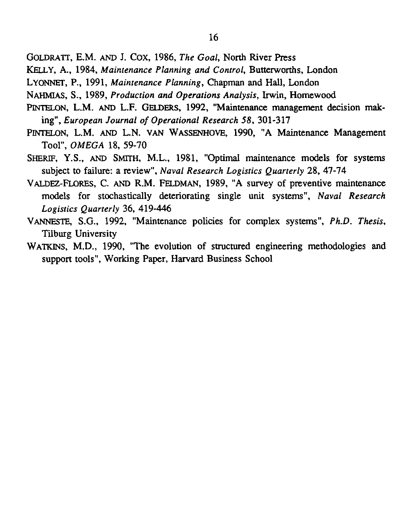- GOLDRATF, E.M. AND J. Cox, 1986, *The Goal,* North River Press
- KELLY, A., 1984, *Maintenance Planning and Control,* Butterworths, London
- LY0NNEr, P., 1991, *Maintenance Planning,* Chapman and Hall, London
- NAHMIAS, S., 1989, *Production and Operations Analysis,* Irwin, Homewood
- PINTELON, L.M. AND L.F. GELDERS, 1992, "Maintenance management decision making", *European Journal of Operational Research 58,* 301-317
- PINTELON, L.M. AND L.N. VAN WASSENHOVE, 1990, "A Maintenance Management Tool", *OMEGA* 18, 59-70
- SHERIF, Y.S., AND SMITH, M.L., 1981, "Optimal maintenance models for systems subject to failure: a review", *Naval Research Logistics Quarterly* 28, 47-74
- VALDEZ-FLORES, C. AND R.M. FELDMAN, 1989, "A survey of preventive maintenance models for stochastically deteriorating single unit systems", *Naval Research Logistics Quarterly* 36, 419-446
- VANNESTE, S.G., 1992, "Maintenance policies for complex systems", *Ph.D. Thesis,* Tilburg University
- WATKINS, M.D., 1990, "The evolution of structured engineering methodologies and support tools", Working Paper, Harvard Business School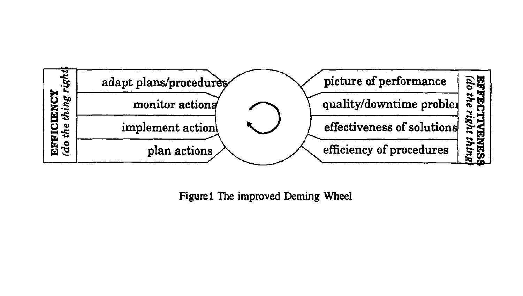

Figurel The improved Deming Wheel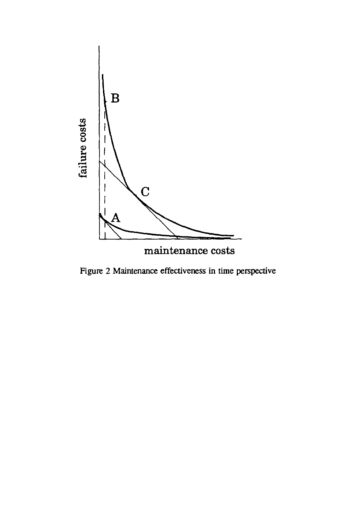

Figure 2 Maintenance effectiveness in time perspective